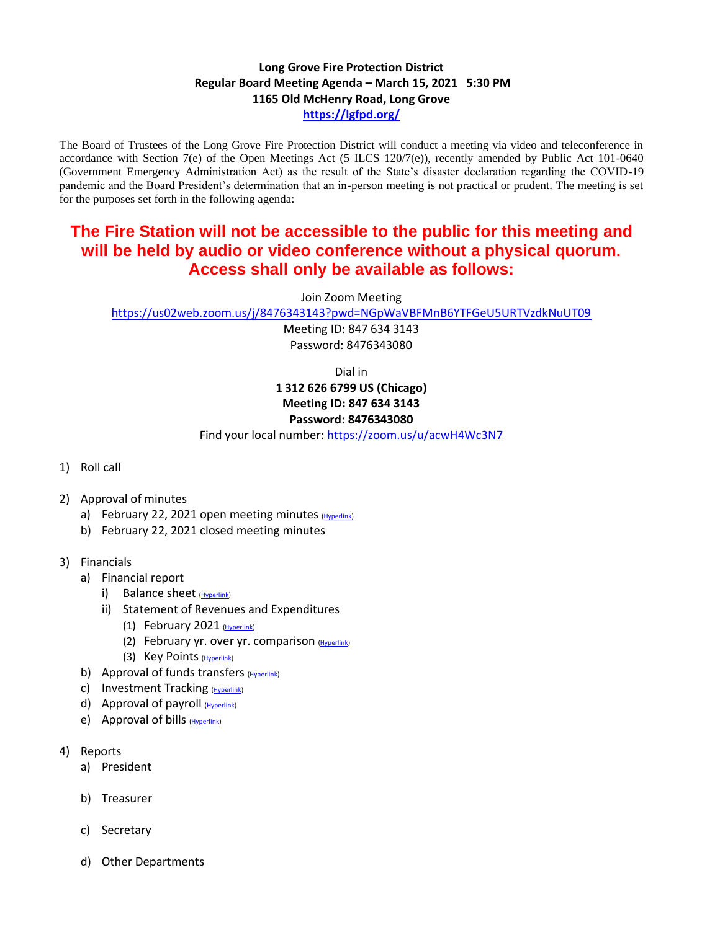## **Long Grove Fire Protection District Regular Board Meeting Agenda – March 15, 2021 5:30 PM 1165 Old McHenry Road, Long Grove <https://lgfpd.org/>**

The Board of Trustees of the Long Grove Fire Protection District will conduct a meeting via video and teleconference in accordance with Section 7(e) of the Open Meetings Act  $(5$  ILCS 120/7(e)), recently amended by Public Act 101-0640 (Government Emergency Administration Act) as the result of the State's disaster declaration regarding the COVID-19 pandemic and the Board President's determination that an in-person meeting is not practical or prudent. The meeting is set for the purposes set forth in the following agenda:

## **The Fire Station will not be accessible to the public for this meeting and will be held by audio or video conference without a physical quorum. Access shall only be available as follows:**

Join Zoom Meeting

<https://us02web.zoom.us/j/8476343143?pwd=NGpWaVBFMnB6YTFGeU5URTVzdkNuUT09>

Meeting ID: 847 634 3143 Password: 8476343080

Dial in

## **1 312 626 6799 US (Chicago) Meeting ID: 847 634 3143 Password: 8476343080**

Find your local number:<https://zoom.us/u/acwH4Wc3N7>

- 1) Roll call
- 2) Approval of minutes
	- a) February 22, 2021 open meeting minutes [\(Hyperlink\)](https://itgophers.sharepoint.com/:b:/s/SharedDocs/EY5svazg089BgxF37iF7K68BP38QQSX--QOXKiMlV1JC1g?e=5wK15M)
	- b) February 22, 2021 closed meeting minutes
- 3) Financials
	- a) Financial report
		- i) Balance sheet [\(Hyperlink\)](https://itgophers.sharepoint.com/:b:/s/SharedDocs/EZ_T-vCgq2BJqsJYXedKbR8BTbs589hegLFPMfPqu8njHQ?e=MF21H2)
		- ii) Statement of Revenues and Expenditures
			- (1) February 2021  $(Hyperlink)$
			- (2) February yr. over yr. comparison  $(Hyperlink)$
			- (3) Key Points [\(Hyperlink\)](https://itgophers.sharepoint.com/:b:/s/SharedDocs/EbcAGvsgy2FGs0WNbJjNmyUBnWkW4A9D2TOl6Z0yxhf2Aw?e=DXXhog)
	- b) Approval of funds transfers  $(Hyperlink)$
	- c) Investment Tracking [\(Hyperlink\)](https://itgophers.sharepoint.com/:b:/s/SharedDocs/EWgUWw_XrL1KrPnVVeTur3oB_Kb-l2MgWAwU6F4BC1pXWg?e=dKC0l7)
	- d) Approval of payroll [\(Hyperlink\)](https://itgophers.sharepoint.com/:b:/s/SharedDocs/ESSmFOFhxVFJu8DA3WcFbdkB37NMHxzI-JY6RHc0tlk8wA?e=q6eA4A)
	- e) Approval of bills [\(Hyperlink\)](https://itgophers.sharepoint.com/:b:/s/SharedDocs/ERO9M4Lk8BdOkjKCFFHy8m8B0NyFfdbhjzjvbIsPa7csKA?e=rUijhu)
- 4) Reports
	- a) President
	- b) Treasurer
	- c) Secretary
	- d) Other Departments